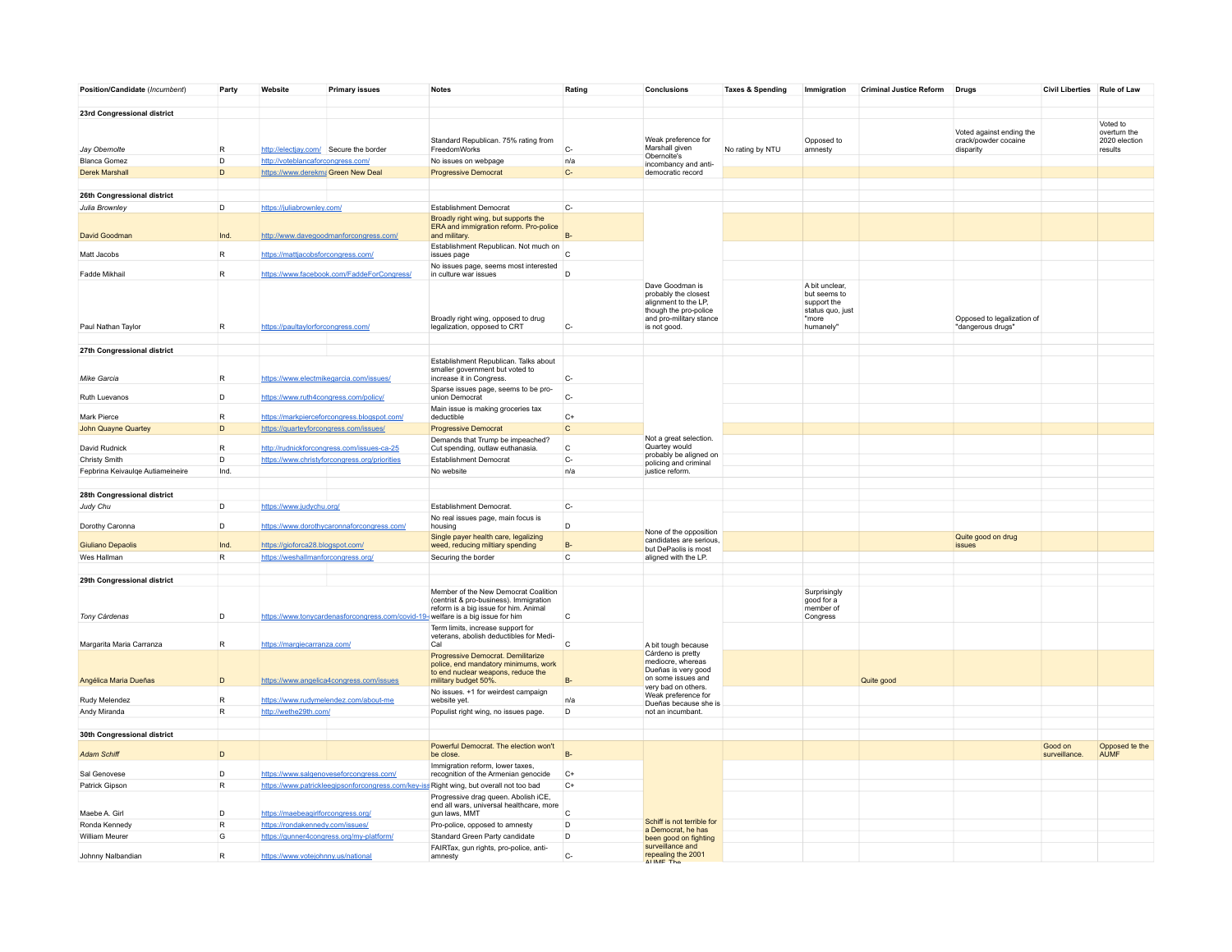| Position/Candidate (Incumbent)   | Party        | Website                                | <b>Primary issues</b>                                                            | <b>Notes</b>                                                                                                     | Rating         | Conclusions                                                                                                                         | <b>Taxes &amp; Spending</b> | Immigration                                                                             | <b>Criminal Justice Reform</b> | <b>Drugs</b>                                     | Civil Liberties Rule of Law |                               |
|----------------------------------|--------------|----------------------------------------|----------------------------------------------------------------------------------|------------------------------------------------------------------------------------------------------------------|----------------|-------------------------------------------------------------------------------------------------------------------------------------|-----------------------------|-----------------------------------------------------------------------------------------|--------------------------------|--------------------------------------------------|-----------------------------|-------------------------------|
| 23rd Congressional district      |              |                                        |                                                                                  |                                                                                                                  |                |                                                                                                                                     |                             |                                                                                         |                                |                                                  |                             |                               |
|                                  |              |                                        |                                                                                  |                                                                                                                  |                |                                                                                                                                     |                             |                                                                                         |                                |                                                  |                             | Voted to                      |
|                                  |              |                                        |                                                                                  | Standard Republican. 75% rating from                                                                             |                | Weak preference for                                                                                                                 |                             | Opposed to                                                                              |                                | Voted against ending the<br>crack/powder cocaine |                             | overturn the<br>2020 election |
| Jay Obernolte                    | $\mathsf{R}$ | http://electjay.com/ Secure the border |                                                                                  | FreedomWorks                                                                                                     | $C-$           | Marshall given<br>Obernolte's                                                                                                       | No rating by NTU            | amnesty                                                                                 |                                | disparity                                        |                             | results                       |
| <b>Blanca Gomez</b>              | D            | http://voteblancaforcongress.com/      |                                                                                  | No issues on webpage                                                                                             | n/a            | incombancy and anti-                                                                                                                |                             |                                                                                         |                                |                                                  |                             |                               |
| <b>Derek Marshall</b>            | D            | https://www.derekmaGreen New Deal      |                                                                                  | <b>Progressive Democrat</b>                                                                                      | $C-$           | democratic record                                                                                                                   |                             |                                                                                         |                                |                                                  |                             |                               |
| 26th Congressional district      |              |                                        |                                                                                  |                                                                                                                  |                |                                                                                                                                     |                             |                                                                                         |                                |                                                  |                             |                               |
| Julia Brownley                   | D            | https://juliabrownley.com/             |                                                                                  | <b>Establishment Democrat</b>                                                                                    | $C-$           |                                                                                                                                     |                             |                                                                                         |                                |                                                  |                             |                               |
| David Goodman                    | Ind.         |                                        | http://www.davegoodmanforcongress.com/                                           | Broadly right wing, but supports the<br>ERA and immigration reform. Pro-police<br>and military.                  |                |                                                                                                                                     |                             |                                                                                         |                                |                                                  |                             |                               |
|                                  |              |                                        |                                                                                  | Establishment Republican. Not much on                                                                            |                |                                                                                                                                     |                             |                                                                                         |                                |                                                  |                             |                               |
| Matt Jacobs                      | R            | https://mattjacobsforcongress.com/     |                                                                                  | issues page<br>No issues page, seems most interested                                                             | $\mathsf{C}$   |                                                                                                                                     |                             |                                                                                         |                                |                                                  |                             |                               |
| Fadde Mikhail                    | R            |                                        | https://www.facebook.com/FaddeForCongress/                                       | in culture war issues                                                                                            | D              |                                                                                                                                     |                             |                                                                                         |                                |                                                  |                             |                               |
| Paul Nathan Taylor               | $\mathsf{R}$ | https://paultaylorforcongress.com/     |                                                                                  | Broadly right wing, opposed to drug<br>legalization, opposed to CRT                                              | $C-$           | Dave Goodman is<br>probably the closest<br>alignment to the LP.<br>though the pro-police<br>and pro-military stance<br>is not good. |                             | A bit unclear,<br>but seems to<br>support the<br>status quo, just<br>"more<br>humanely" |                                | Opposed to legalization of<br>"dangerous drugs"  |                             |                               |
| 27th Congressional district      |              |                                        |                                                                                  |                                                                                                                  |                |                                                                                                                                     |                             |                                                                                         |                                |                                                  |                             |                               |
| Mike Garcia                      | $\mathsf{R}$ |                                        | https://www.electmikegarcia.com/issues/                                          | Establishment Republican. Talks about<br>smaller government but voted to<br>increase it in Congress.             | $C-$           |                                                                                                                                     |                             |                                                                                         |                                |                                                  |                             |                               |
| Ruth Luevanos                    | D            | https://www.ruth4congress.com/policy/  |                                                                                  | Sparse issues page, seems to be pro-<br>union Democrat                                                           | $C-$           |                                                                                                                                     |                             |                                                                                         |                                |                                                  |                             |                               |
|                                  |              |                                        |                                                                                  | Main issue is making groceries tax                                                                               |                |                                                                                                                                     |                             |                                                                                         |                                |                                                  |                             |                               |
| Mark Pierce                      | $\mathsf{R}$ |                                        | https://markpierceforcongress.blogspot.com/                                      | deductible                                                                                                       | $C+$           |                                                                                                                                     |                             |                                                                                         |                                |                                                  |                             |                               |
| John Quayne Quartey              | D            | https://quarteyforcongress.com/issues/ |                                                                                  | <b>Progressive Democrat</b>                                                                                      | $\overline{c}$ |                                                                                                                                     |                             |                                                                                         |                                |                                                  |                             |                               |
| David Rudnick                    | $\mathsf{R}$ |                                        | http://rudnickforcongress.com/issues-ca-25                                       | Demands that Trump be impeached?<br>Cut spending, outlaw euthanasia.                                             | $\mathtt{C}$   | Not a great selection.<br>Quartey would                                                                                             |                             |                                                                                         |                                |                                                  |                             |                               |
| Christy Smith                    | D            |                                        | https://www.christyforcongress.org/priorities                                    | <b>Establishment Democrat</b>                                                                                    | $C-$           | probably be aligned on<br>policing and criminal                                                                                     |                             |                                                                                         |                                |                                                  |                             |                               |
| Fepbrina Keivaulqe Autiameineire | Ind.         |                                        |                                                                                  | No website                                                                                                       | n/a            | justice reform.                                                                                                                     |                             |                                                                                         |                                |                                                  |                             |                               |
|                                  |              |                                        |                                                                                  |                                                                                                                  |                |                                                                                                                                     |                             |                                                                                         |                                |                                                  |                             |                               |
| 28th Congressional district      |              |                                        |                                                                                  |                                                                                                                  |                |                                                                                                                                     |                             |                                                                                         |                                |                                                  |                             |                               |
| Judy Chu                         | D            | https://www.judychu.org/               |                                                                                  | Establishment Democrat                                                                                           | $C-$           |                                                                                                                                     |                             |                                                                                         |                                |                                                  |                             |                               |
|                                  |              |                                        |                                                                                  | No real issues page, main focus is                                                                               |                |                                                                                                                                     |                             |                                                                                         |                                |                                                  |                             |                               |
| Dorothy Caronna                  | D            |                                        | https://www.dorothycaronnaforcongress.com/                                       | housing<br>Single payer health care, legalizing                                                                  | D              | None of the opposition<br>candidates are serious.                                                                                   |                             |                                                                                         |                                | Quite good on drug                               |                             |                               |
| Giuliano Depaolis                | Ind.         | https://gioforca28.blogspot.com/       |                                                                                  | weed, reducing miltiary spending                                                                                 | $B -$          | but DePaolis is most                                                                                                                |                             |                                                                                         |                                | <i>issues</i>                                    |                             |                               |
| Wes Hallman                      | $\mathsf R$  | https://weshallmanforcongress.org/     |                                                                                  | Securing the border                                                                                              | $\mathsf{C}$   | aligned with the LP.                                                                                                                |                             |                                                                                         |                                |                                                  |                             |                               |
| 29th Congressional district      |              |                                        |                                                                                  |                                                                                                                  |                |                                                                                                                                     |                             |                                                                                         |                                |                                                  |                             |                               |
|                                  |              |                                        |                                                                                  | Member of the New Democrat Coalition<br>(centrist & pro-business). Immigration                                   |                |                                                                                                                                     |                             | Surprisingly<br>good for a                                                              |                                |                                                  |                             |                               |
| Tony Cárdenas                    | D            |                                        | https://www.tonycardenasforcongress.com/covid-19- welfare is a big issue for him | reform is a big issue for him. Animal                                                                            | C              |                                                                                                                                     |                             | member of<br>Congress                                                                   |                                |                                                  |                             |                               |
|                                  |              |                                        |                                                                                  | Term limits, increase support for                                                                                |                |                                                                                                                                     |                             |                                                                                         |                                |                                                  |                             |                               |
| Margarita Maria Carranza         | $\mathsf R$  | https://margiecarranza.com/            |                                                                                  | veterans, abolish deductibles for Medi-<br>Cal                                                                   | $\mathsf{C}$   | A bit tough because                                                                                                                 |                             |                                                                                         |                                |                                                  |                             |                               |
|                                  |              |                                        |                                                                                  | Progressive Democrat. Demilitarize<br>police, end mandatory minimums, work<br>to end nuclear weapons, reduce the |                | Cárdeno is pretty<br>mediocre, whereas<br>Dueñas is very good                                                                       |                             |                                                                                         |                                |                                                  |                             |                               |
| Angélica Maria Dueñas            | D            |                                        | https://www.angelica4congress.com/issues                                         | military budget 50%.                                                                                             | $B -$          | on some issues and<br>very bad on others.                                                                                           |                             |                                                                                         | Quite good                     |                                                  |                             |                               |
| Rudy Melendez                    | $\mathsf{R}$ |                                        | https://www.rudymelendez.com/about-me                                            | No issues, +1 for weirdest campaign<br>website yet.                                                              | n/a            | Weak preference for                                                                                                                 |                             |                                                                                         |                                |                                                  |                             |                               |
| Andy Miranda                     | $\mathsf{R}$ | http://wethe29th.com/                  |                                                                                  | Populist right wing, no issues page.                                                                             | D              | Dueñas because she is<br>not an incumbant.                                                                                          |                             |                                                                                         |                                |                                                  |                             |                               |
|                                  |              |                                        |                                                                                  |                                                                                                                  |                |                                                                                                                                     |                             |                                                                                         |                                |                                                  |                             |                               |
| 30th Congressional district      |              |                                        |                                                                                  |                                                                                                                  |                |                                                                                                                                     |                             |                                                                                         |                                |                                                  |                             |                               |
| <b>Adam Schiff</b>               | D.           |                                        |                                                                                  | Powerful Democrat. The election won't<br>be close                                                                | $B -$          |                                                                                                                                     |                             |                                                                                         |                                |                                                  | Good on<br>surveillance     | Opposed te the<br><b>AUMF</b> |
| Sal Genovese                     | D            |                                        | https://www.salgenoveseforcongress.com/                                          | Immigration reform, lower taxes,<br>recognition of the Armenian genocide                                         | $C+$           |                                                                                                                                     |                             |                                                                                         |                                |                                                  |                             |                               |
| Patrick Gipson                   | $\mathsf R$  |                                        |                                                                                  | https://www.patrickleegipsonforcongress.com/key-iss Right wing, but overall not too bad                          | $C+$           |                                                                                                                                     |                             |                                                                                         |                                |                                                  |                             |                               |
|                                  |              |                                        |                                                                                  | Progressive drag queen. Abolish iCE,<br>end all wars, universal healthcare, more                                 |                |                                                                                                                                     |                             |                                                                                         |                                |                                                  |                             |                               |
| Maebe A. Girl                    | D            | https://maebeagirlforcongress.org/     |                                                                                  | gun laws, MMT                                                                                                    | $\mathsf{C}$   |                                                                                                                                     |                             |                                                                                         |                                |                                                  |                             |                               |
| Ronda Kennedy                    | $\mathsf R$  | https://rondakennedy.com/issues/       |                                                                                  | Pro-police, opposed to amnesty                                                                                   | D              | Schiff is not terrible for<br>a Democrat, he has                                                                                    |                             |                                                                                         |                                |                                                  |                             |                               |
| William Meurer                   | G            |                                        | https://gunner4congress.org/my-platform/                                         | Standard Green Party candidate                                                                                   | D              | been good on fighting<br>surveillance and                                                                                           |                             |                                                                                         |                                |                                                  |                             |                               |
| Johnny Nalbandian                | R            | https://www.votejohnny.us/national     |                                                                                  | FAIRTax, gun rights, pro-police, anti-<br>amnesty                                                                | $C-$           | repealing the 2001                                                                                                                  |                             |                                                                                         |                                |                                                  |                             |                               |
|                                  |              |                                        |                                                                                  |                                                                                                                  |                |                                                                                                                                     |                             |                                                                                         |                                |                                                  |                             |                               |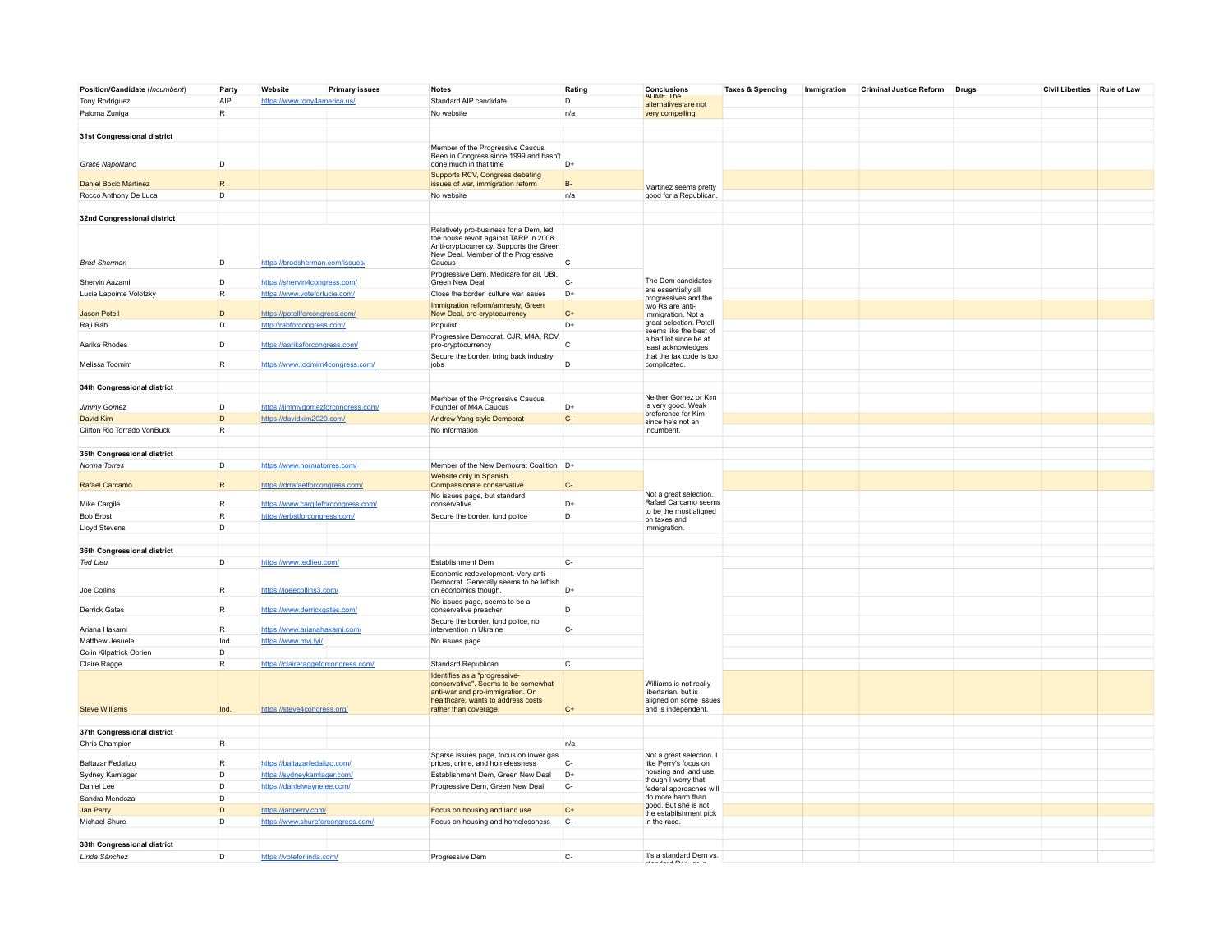| Position/Candidate (Incumbent) | Party        | Website                             | <b>Primary issues</b> | <b>Notes</b>                                                                   | Rating               | <b>Conclusions</b>                              | <b>Taxes &amp; Spending</b> | Immigration | Criminal Justice Reform Drugs | Civil Liberties Rule of Law |  |
|--------------------------------|--------------|-------------------------------------|-----------------------|--------------------------------------------------------------------------------|----------------------|-------------------------------------------------|-----------------------------|-------------|-------------------------------|-----------------------------|--|
| Tony Rodriguez                 | AIP          | https://www.tony4america.us/        |                       | Standard AIP candidate                                                         | D                    | <b>AUMF. The</b><br>alternatives are not        |                             |             |                               |                             |  |
| Paloma Zuniga                  | $\mathsf{R}$ |                                     |                       | No website                                                                     | n/a                  | very compelling.                                |                             |             |                               |                             |  |
|                                |              |                                     |                       |                                                                                |                      |                                                 |                             |             |                               |                             |  |
| 31st Congressional district    |              |                                     |                       |                                                                                |                      |                                                 |                             |             |                               |                             |  |
|                                |              |                                     |                       | Member of the Progressive Caucus.                                              |                      |                                                 |                             |             |                               |                             |  |
|                                |              |                                     |                       | Been in Congress since 1999 and hasn't                                         |                      |                                                 |                             |             |                               |                             |  |
| Grace Napolitano               | D            |                                     |                       | done much in that time                                                         | D+                   |                                                 |                             |             |                               |                             |  |
|                                |              |                                     |                       | Supports RCV, Congress debating                                                |                      |                                                 |                             |             |                               |                             |  |
| <b>Daniel Bocic Martinez</b>   | $\mathsf{R}$ |                                     |                       | issues of war, immigration reform                                              | $B -$                | Martinez seems pretty                           |                             |             |                               |                             |  |
| Rocco Anthony De Luca          | D            |                                     |                       | No website                                                                     | n/a                  | good for a Republican.                          |                             |             |                               |                             |  |
|                                |              |                                     |                       |                                                                                |                      |                                                 |                             |             |                               |                             |  |
| 32nd Congressional district    |              |                                     |                       |                                                                                |                      |                                                 |                             |             |                               |                             |  |
|                                |              |                                     |                       | Relatively pro-business for a Dem, led                                         |                      |                                                 |                             |             |                               |                             |  |
|                                |              |                                     |                       | the house revolt against TARP in 2008.                                         |                      |                                                 |                             |             |                               |                             |  |
|                                |              |                                     |                       | Anti-cryptocurrency. Supports the Green<br>New Deal. Member of the Progressive |                      |                                                 |                             |             |                               |                             |  |
| <b>Brad Sherman</b>            | D            | https://bradsherman.com/issues/     |                       | Caucus                                                                         | $\mathsf{C}$         |                                                 |                             |             |                               |                             |  |
|                                |              |                                     |                       | Progressive Dem. Medicare for all, UBI,                                        |                      |                                                 |                             |             |                               |                             |  |
| Shervin Aazami                 | D            | https://shervin4congress.com/       |                       | Green New Deal                                                                 | $C-$                 | The Dem candidates                              |                             |             |                               |                             |  |
| Lucie Lapointe Volotzky        | $\mathsf{R}$ | https://www.voteforlucie.com/       |                       | Close the border, culture war issues                                           | $D+$                 | are essentially all                             |                             |             |                               |                             |  |
|                                |              |                                     |                       | Immigration reform/amnesty, Green                                              |                      | progressives and the<br>two Rs are anti-        |                             |             |                               |                             |  |
| <b>Jason Potell</b>            | D            | https://potellforcongress.com/      |                       | New Deal, pro-cryptocurrency                                                   | $C+$                 | immigration. Not a                              |                             |             |                               |                             |  |
| Raji Rab                       | D            | http://rabforcongress.com/          |                       | Populist                                                                       | D+                   | great selection. Potell                         |                             |             |                               |                             |  |
|                                |              |                                     |                       | Progressive Democrat. CJR, M4A, RCV,                                           |                      | seems like the best of<br>a had lot since he at |                             |             |                               |                             |  |
| Aarika Rhodes                  | D            | https://aarikaforcongress.com/      |                       | pro-cryptocurrency                                                             | $\mathsf{C}$         | least acknowledges                              |                             |             |                               |                             |  |
|                                |              |                                     |                       | Secure the border, bring back industry                                         |                      | that the tax code is too                        |                             |             |                               |                             |  |
| Melissa Toomim                 | R            | https://www.toomim4congress.com/    |                       | jobs                                                                           | D                    | compilcated.                                    |                             |             |                               |                             |  |
|                                |              |                                     |                       |                                                                                |                      |                                                 |                             |             |                               |                             |  |
| 34th Congressional district    |              |                                     |                       |                                                                                |                      |                                                 |                             |             |                               |                             |  |
|                                |              |                                     |                       | Member of the Progressive Caucus.                                              |                      | Neither Gomez or Kim                            |                             |             |                               |                             |  |
| Jimmy Gomez                    | D            | https://jimmygomezforcongress.com/  |                       | Founder of M4A Caucus                                                          | D+                   | is very good. Weak<br>preference for Kim        |                             |             |                               |                             |  |
| David Kim                      | D            | https://davidkim2020.com/           |                       | Andrew Yang style Democrat                                                     | $C-$                 | since he's not an                               |                             |             |                               |                             |  |
| Clifton Rio Torrado VonBuck    | $\mathsf{R}$ |                                     |                       | No information                                                                 |                      | incumbent.                                      |                             |             |                               |                             |  |
|                                |              |                                     |                       |                                                                                |                      |                                                 |                             |             |                               |                             |  |
| 35th Congressional district    |              |                                     |                       |                                                                                |                      |                                                 |                             |             |                               |                             |  |
| Norma Torres                   | D            | https://www.normatorres.com/        |                       | Member of the New Democrat Coalition D+                                        |                      |                                                 |                             |             |                               |                             |  |
|                                |              |                                     |                       | Website only in Spanish.                                                       |                      |                                                 |                             |             |                               |                             |  |
| Rafael Carcamo                 | $\mathsf{R}$ | https://drrafaelforcongress.com/    |                       | Compassionate conservative                                                     | $C-$                 |                                                 |                             |             |                               |                             |  |
|                                |              |                                     |                       | No issues page, but standard                                                   |                      | Not a great selection.                          |                             |             |                               |                             |  |
| Mike Cargile                   | R            | https://www.cargileforcongress.com/ |                       | conservative                                                                   | D+                   | Rafael Carcamo seems                            |                             |             |                               |                             |  |
| <b>Bob Erbst</b>               | $\mathsf{R}$ | https://erbstforcongress.com/       |                       | Secure the border, fund police                                                 | D                    | to be the most aligned<br>on taxes and          |                             |             |                               |                             |  |
| <b>Lloyd Stevens</b>           | D            |                                     |                       |                                                                                |                      | immigration.                                    |                             |             |                               |                             |  |
|                                |              |                                     |                       |                                                                                |                      |                                                 |                             |             |                               |                             |  |
| 36th Congressional district    |              |                                     |                       |                                                                                |                      |                                                 |                             |             |                               |                             |  |
| <b>Ted Lieu</b>                | D            | https://www.tedlieu.com/            |                       | Establishment Dem                                                              | $\mathbb{C}\text{-}$ |                                                 |                             |             |                               |                             |  |
|                                |              |                                     |                       | Economic redevelopment. Very anti-                                             |                      |                                                 |                             |             |                               |                             |  |
|                                |              |                                     |                       | Democrat. Generally seems to be leftish                                        |                      |                                                 |                             |             |                               |                             |  |
| Joe Collins                    | $\mathsf{R}$ | https://joeecollins3.com/           |                       | on economics though.                                                           | $D+$                 |                                                 |                             |             |                               |                             |  |
|                                |              |                                     |                       | No issues page, seems to be a                                                  |                      |                                                 |                             |             |                               |                             |  |
| <b>Derrick Gates</b>           | $\mathsf{R}$ | https://www.derrickgates.com/       |                       | conservative preacher                                                          | D                    |                                                 |                             |             |                               |                             |  |
|                                |              |                                     |                       | Secure the border, fund police, no                                             |                      |                                                 |                             |             |                               |                             |  |
| Ariana Hakami                  | $\mathsf{R}$ | https://www.arianahakami.com/       |                       | intervention in Ukraine                                                        | $C-$                 |                                                 |                             |             |                               |                             |  |
| Matthew Jesuele                | Ind.         | https://www.mvj.fyi/                |                       | No issues page                                                                 |                      |                                                 |                             |             |                               |                             |  |
| Colin Kilpatrick Obrien        | D            |                                     |                       |                                                                                |                      |                                                 |                             |             |                               |                             |  |
| Claire Ragge                   | $\mathsf{R}$ | https://claireraggeforcongress.com/ |                       | Standard Republican                                                            | $\mathsf{C}$         |                                                 |                             |             |                               |                             |  |
|                                |              |                                     |                       | Identifies as a "progressive-                                                  |                      |                                                 |                             |             |                               |                             |  |
|                                |              |                                     |                       | conservative". Seems to be somewhat                                            |                      | Williams is not really<br>libertarian, but is   |                             |             |                               |                             |  |
|                                |              |                                     |                       | anti-war and pro-immigration. On<br>healthcare, wants to address costs         |                      | aligned on some issues                          |                             |             |                               |                             |  |
| <b>Steve Williams</b>          | Ind.         | https://steve4congress.org/         |                       | rather than coverage.                                                          | $C+$                 | and is independent.                             |                             |             |                               |                             |  |
|                                |              |                                     |                       |                                                                                |                      |                                                 |                             |             |                               |                             |  |
| 37th Congressional district    |              |                                     |                       |                                                                                |                      |                                                 |                             |             |                               |                             |  |
| Chris Champion                 | $\mathsf{R}$ |                                     |                       |                                                                                | n/a                  |                                                 |                             |             |                               |                             |  |
|                                |              |                                     |                       | Sparse issues page, focus on lower gas                                         |                      | Not a great selection. I                        |                             |             |                               |                             |  |
| Baltazar Fedalizo              | R            | https://baltazarfedalizo.com/       |                       | prices, crime, and homelessness                                                | $C-$                 | like Perry's focus on                           |                             |             |                               |                             |  |
| Sydney Kamlager                | D            | https://sydneykamlager.com/         |                       | Establishment Dem, Green New Deal                                              | $D+$                 | housing and land use,                           |                             |             |                               |                             |  |
| Daniel Lee                     | D            | https://danielwaynelee.com/         |                       | Progressive Dem, Green New Deal                                                | $C-$                 | though I worry that<br>federal approaches will  |                             |             |                               |                             |  |
| Sandra Mendoza                 | D            |                                     |                       |                                                                                |                      | do more harm than                               |                             |             |                               |                             |  |
| Jan Perry                      | D            | https://janperry.com/               |                       | Focus on housing and land use                                                  | $C+$                 | good. But she is not                            |                             |             |                               |                             |  |
|                                | D            |                                     |                       |                                                                                | $C-$                 | the establishment pick                          |                             |             |                               |                             |  |
| Michael Shure                  |              | https://www.shureforcongress.com/   |                       | Focus on housing and homelessness                                              |                      | in the race.                                    |                             |             |                               |                             |  |
|                                |              |                                     |                       |                                                                                |                      |                                                 |                             |             |                               |                             |  |
| 38th Congressional district    |              |                                     |                       |                                                                                |                      |                                                 |                             |             |                               |                             |  |
| Linda Sánchez                  | D            | https://voteforlinda.com/           |                       | Progressive Dem                                                                | $C-$                 | It's a standard Dem vs.                         |                             |             |                               |                             |  |
|                                |              |                                     |                       |                                                                                |                      |                                                 |                             |             |                               |                             |  |